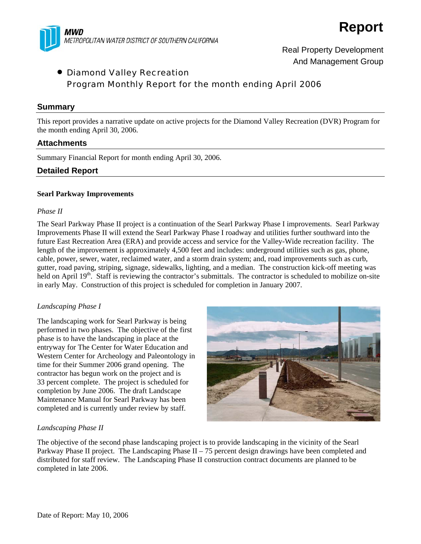



Real Property Development And Management Group

# • Diamond Valley Recreation Program Monthly Report for the month ending April 2006

### **Summary**

This report provides a narrative update on active projects for the Diamond Valley Recreation (DVR) Program for the month ending April 30, 2006.

## **Attachments**

Summary Financial Report for month ending April 30, 2006.

## **Detailed Report**

#### **Searl Parkway Improvements**

#### *Phase II*

The Searl Parkway Phase II project is a continuation of the Searl Parkway Phase I improvements. Searl Parkway Improvements Phase II will extend the Searl Parkway Phase I roadway and utilities further southward into the future East Recreation Area (ERA) and provide access and service for the Valley-Wide recreation facility. The length of the improvement is approximately 4,500 feet and includes: underground utilities such as gas, phone, cable, power, sewer, water, reclaimed water, and a storm drain system; and, road improvements such as curb, gutter, road paving, striping, signage, sidewalks, lighting, and a median. The construction kick-off meeting was held on April 19<sup>th</sup>. Staff is reviewing the contractor's submittals. The contractor is scheduled to mobilize on-site in early May. Construction of this project is scheduled for completion in January 2007.

#### *Landscaping Phase I*

The landscaping work for Searl Parkway is being performed in two phases. The objective of the first phase is to have the landscaping in place at the entryway for The Center for Water Education and Western Center for Archeology and Paleontology in time for their Summer 2006 grand opening. The contractor has begun work on the project and is 33 percent complete. The project is scheduled for completion by June 2006. The draft Landscape Maintenance Manual for Searl Parkway has been completed and is currently under review by staff.



#### *Landscaping Phase II*

The objective of the second phase landscaping project is to provide landscaping in the vicinity of the Searl Parkway Phase II project. The Landscaping Phase II – 75 percent design drawings have been completed and distributed for staff review. The Landscaping Phase II construction contract documents are planned to be completed in late 2006.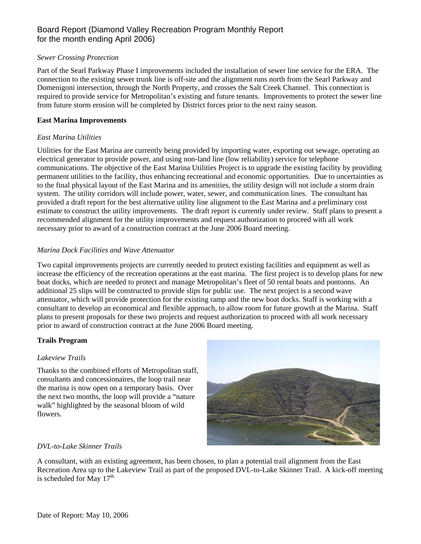## Board Report (Diamond Valley Recreation Program Monthly Report for the month ending April 2006)

#### *Sewer Crossing Protection*

Part of the Searl Parkway Phase I improvements included the installation of sewer line service for the ERA. The connection to the existing sewer trunk line is off-site and the alignment runs north from the Searl Parkway and Domenigoni intersection, through the North Property, and crosses the Salt Creek Channel. This connection is required to provide service for Metropolitan's existing and future tenants. Improvements to protect the sewer line from future storm erosion will be completed by District forces prior to the next rainy season.

#### **East Marina Improvements**

## *East Marina Utilities*

Utilities for the East Marina are currently being provided by importing water, exporting out sewage, operating an electrical generator to provide power, and using non-land line (low reliability) service for telephone communications. The objective of the East Marina Utilities Project is to upgrade the existing facility by providing permanent utilities to the facility, thus enhancing recreational and economic opportunities. Due to uncertainties as to the final physical layout of the East Marina and its amenities, the utility design will not include a storm drain system. The utility corridors will include power, water, sewer, and communication lines. The consultant has provided a draft report for the best alternative utility line alignment to the East Marina and a preliminary cost estimate to construct the utility improvements. The draft report is currently under review. Staff plans to present a recommended alignment for the utility improvements and request authorization to proceed with all work necessary prior to award of a construction contract at the June 2006 Board meeting.

## *Marina Dock Facilities and Wave Attenuator*

Two capital improvements projects are currently needed to protect existing facilities and equipment as well as increase the efficiency of the recreation operations at the east marina. The first project is to develop plans for new boat docks, which are needed to protect and manage Metropolitan's fleet of 50 rental boats and pontoons. An additional 25 slips will be constructed to provide slips for public use. The next project is a second wave attenuator, which will provide protection for the existing ramp and the new boat docks. Staff is working with a consultant to develop an economical and flexible approach, to allow room for future growth at the Marina. Staff plans to present proposals for these two projects and request authorization to proceed with all work necessary prior to award of construction contract at the June 2006 Board meeting.

#### **Trails Program**

## *Lakeview Trails*

Thanks to the combined efforts of Metropolitan staff, consultants and concessionaires, the loop trail near the marina is now open on a temporary basis. Over the next two months, the loop will provide a "nature walk" highlighted by the seasonal bloom of wild flowers.



## *DVL-to-Lake Skinner Trails*

A consultant, with an existing agreement, has been chosen, to plan a potential trail alignment from the East Recreation Area up to the Lakeview Trail as part of the proposed DVL-to-Lake Skinner Trail. A kick-off meeting is scheduled for May  $17^{\text{th}}$ .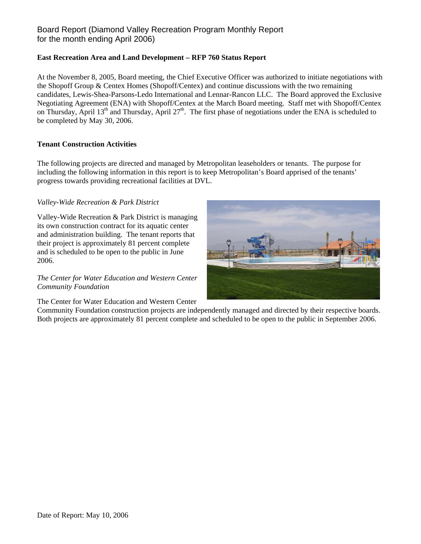## Board Report (Diamond Valley Recreation Program Monthly Report for the month ending April 2006)

### **East Recreation Area and Land Development – RFP 760 Status Report**

At the November 8, 2005, Board meeting, the Chief Executive Officer was authorized to initiate negotiations with the Shopoff Group & Centex Homes (Shopoff/Centex) and continue discussions with the two remaining candidates, Lewis-Shea-Parsons-Ledo International and Lennar-Rancon LLC. The Board approved the Exclusive Negotiating Agreement (ENA) with Shopoff/Centex at the March Board meeting. Staff met with Shopoff/Centex on Thursday, April  $13<sup>th</sup>$  and Thursday, April  $27<sup>th</sup>$ . The first phase of negotiations under the ENA is scheduled to be completed by May 30, 2006.

#### **Tenant Construction Activities**

The following projects are directed and managed by Metropolitan leaseholders or tenants. The purpose for including the following information in this report is to keep Metropolitan's Board apprised of the tenants' progress towards providing recreational facilities at DVL.

### *Valley-Wide Recreation & Park District*

Valley-Wide Recreation & Park District is managing its own construction contract for its aquatic center and administration building. The tenant reports that their project is approximately 81 percent complete and is scheduled to be open to the public in June 2006.

### *The Center for Water Education and Western Center Community Foundation*

The Center for Water Education and Western Center



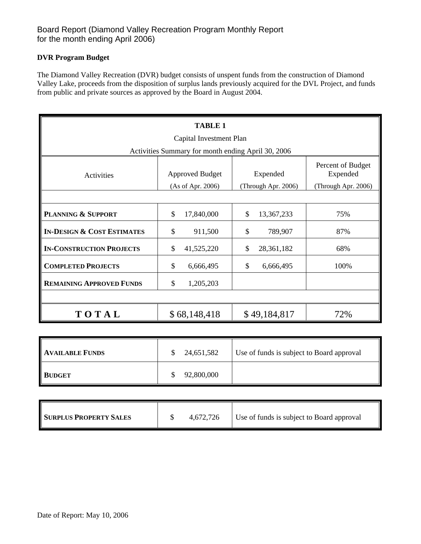## Board Report (Diamond Valley Recreation Program Monthly Report for the month ending April 2006)

## **DVR Program Budget**

The Diamond Valley Recreation (DVR) budget consists of unspent funds from the construction of Diamond Valley Lake, proceeds from the disposition of surplus lands previously acquired for the DVL Project, and funds from public and private sources as approved by the Board in August 2004.

| <b>TABLE 1</b><br>Capital Investment Plan          |                                             |                                 |                                                      |  |  |  |  |  |
|----------------------------------------------------|---------------------------------------------|---------------------------------|------------------------------------------------------|--|--|--|--|--|
| Activities Summary for month ending April 30, 2006 |                                             |                                 |                                                      |  |  |  |  |  |
| Activities                                         | <b>Approved Budget</b><br>(As of Apr. 2006) | Expended<br>(Through Apr. 2006) | Percent of Budget<br>Expended<br>(Through Apr. 2006) |  |  |  |  |  |
|                                                    |                                             |                                 |                                                      |  |  |  |  |  |
| <b>PLANNING &amp; SUPPORT</b>                      | \$<br>17,840,000                            | \$<br>13,367,233                | 75%                                                  |  |  |  |  |  |
| <b>IN-DESIGN &amp; COST ESTIMATES</b>              | \$<br>911,500                               | \$<br>789,907                   | 87%                                                  |  |  |  |  |  |
| <b>IN-CONSTRUCTION PROJECTS</b>                    | \$<br>41,525,220                            | \$<br>28,361,182                | 68%                                                  |  |  |  |  |  |
| <b>COMPLETED PROJECTS</b>                          | \$<br>6,666,495                             | \$<br>6,666,495                 | 100%                                                 |  |  |  |  |  |
| <b>REMAINING APPROVED FUNDS</b>                    | \$<br>1,205,203                             |                                 |                                                      |  |  |  |  |  |
|                                                    |                                             |                                 |                                                      |  |  |  |  |  |
| TOTAL                                              | \$68,148,418                                | \$49,184,817                    | 72%                                                  |  |  |  |  |  |

| <b>AVAILABLE FUNDS</b> | 24,651,582 | Use of funds is subject to Board approval |
|------------------------|------------|-------------------------------------------|
| <b>BUDGET</b>          | 92,800,000 |                                           |

| <b>SURPLUS PROPERTY SALES</b> |  | 4,672,726 | Use of funds is subject to Board approval |
|-------------------------------|--|-----------|-------------------------------------------|
|-------------------------------|--|-----------|-------------------------------------------|